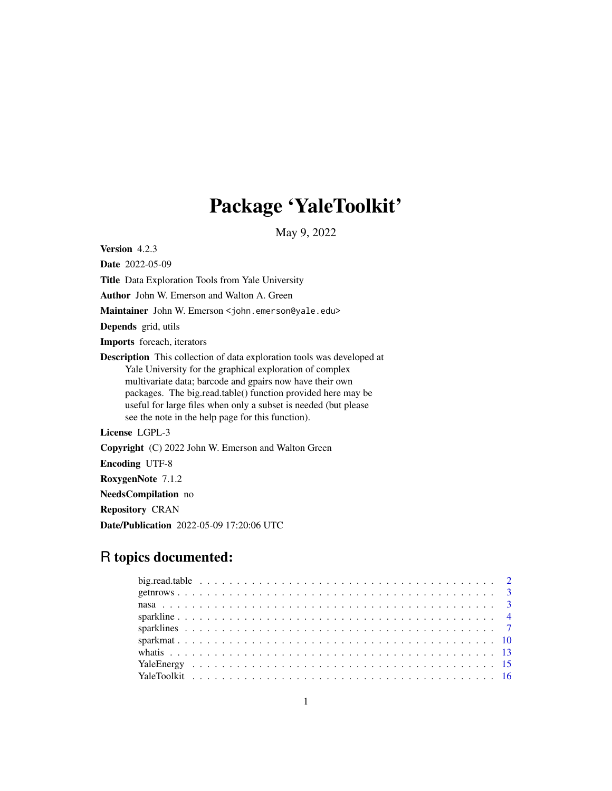# Package 'YaleToolkit'

May 9, 2022

<span id="page-0-0"></span>Version 4.2.3

Date 2022-05-09

Title Data Exploration Tools from Yale University

Author John W. Emerson and Walton A. Green

Maintainer John W. Emerson <john.emerson@yale.edu>

Depends grid, utils

Imports foreach, iterators

Description This collection of data exploration tools was developed at Yale University for the graphical exploration of complex multivariate data; barcode and gpairs now have their own packages. The big.read.table() function provided here may be useful for large files when only a subset is needed (but please see the note in the help page for this function).

License LGPL-3

Copyright (C) 2022 John W. Emerson and Walton Green

Encoding UTF-8

RoxygenNote 7.1.2

NeedsCompilation no

Repository CRAN

Date/Publication 2022-05-09 17:20:06 UTC

## R topics documented: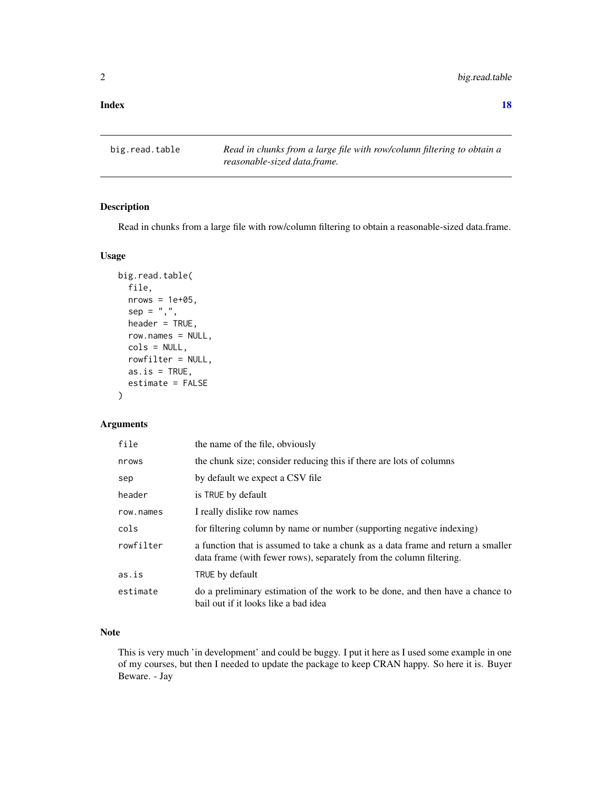#### <span id="page-1-0"></span>**Index** 2008 **[18](#page-17-0)**

big.read.table *Read in chunks from a large file with row/column filtering to obtain a reasonable-sized data.frame.*

## Description

Read in chunks from a large file with row/column filtering to obtain a reasonable-sized data.frame.

## Usage

```
big.read.table(
  file,
  nrows = 1e+05,
  sep = ","header = TRUE,
  row.names = NULL,
  cols = NULL,
  rowfilter = NULL,
  as.is = TRUE,estimate = FALSE
)
```
## Arguments

| file      | the name of the file, obviously                                                                                                                        |
|-----------|--------------------------------------------------------------------------------------------------------------------------------------------------------|
| nrows     | the chunk size; consider reducing this if there are lots of columns                                                                                    |
| sep       | by default we expect a CSV file                                                                                                                        |
| header    | is TRUE by default                                                                                                                                     |
| row.names | I really dislike row names                                                                                                                             |
| cols      | for filtering column by name or number (supporting negative indexing)                                                                                  |
| rowfilter | a function that is assumed to take a chunk as a data frame and return a smaller<br>data frame (with fewer rows), separately from the column filtering. |
| as.is     | TRUE by default                                                                                                                                        |
| estimate  | do a preliminary estimation of the work to be done, and then have a chance to<br>bail out if it looks like a bad idea                                  |

## Note

This is very much 'in development' and could be buggy. I put it here as I used some example in one of my courses, but then I needed to update the package to keep CRAN happy. So here it is. Buyer Beware. - Jay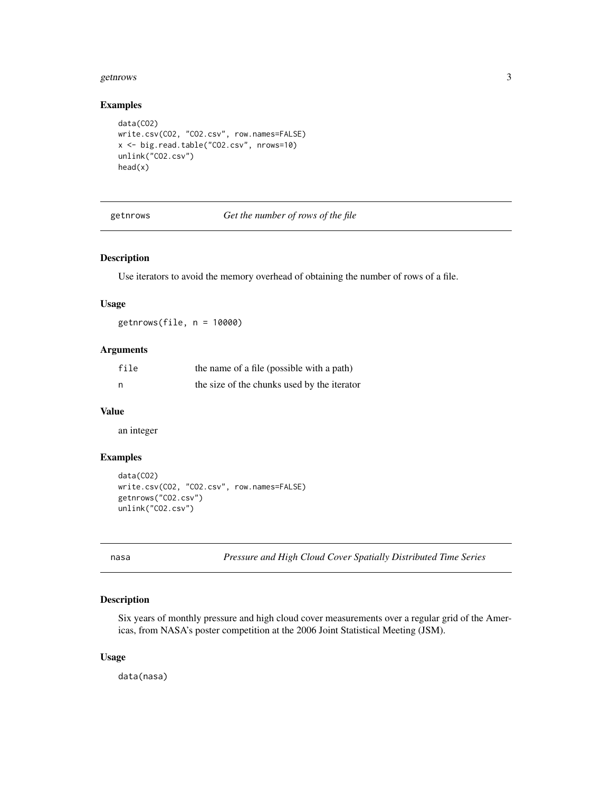#### <span id="page-2-0"></span>getnrows 3

#### Examples

```
data(CO2)
write.csv(CO2, "CO2.csv", row.names=FALSE)
x <- big.read.table("CO2.csv", nrows=10)
unlink("CO2.csv")
head(x)
```
getnrows *Get the number of rows of the file*

## Description

Use iterators to avoid the memory overhead of obtaining the number of rows of a file.

## Usage

getnrows(file, n = 10000)

## Arguments

| file | the name of a file (possible with a path)   |  |
|------|---------------------------------------------|--|
| n    | the size of the chunks used by the iterator |  |

## Value

an integer

## Examples

```
data(CO2)
write.csv(CO2, "CO2.csv", row.names=FALSE)
getnrows("CO2.csv")
unlink("CO2.csv")
```
nasa *Pressure and High Cloud Cover Spatially Distributed Time Series*

## Description

Six years of monthly pressure and high cloud cover measurements over a regular grid of the Americas, from NASA's poster competition at the 2006 Joint Statistical Meeting (JSM).

## Usage

data(nasa)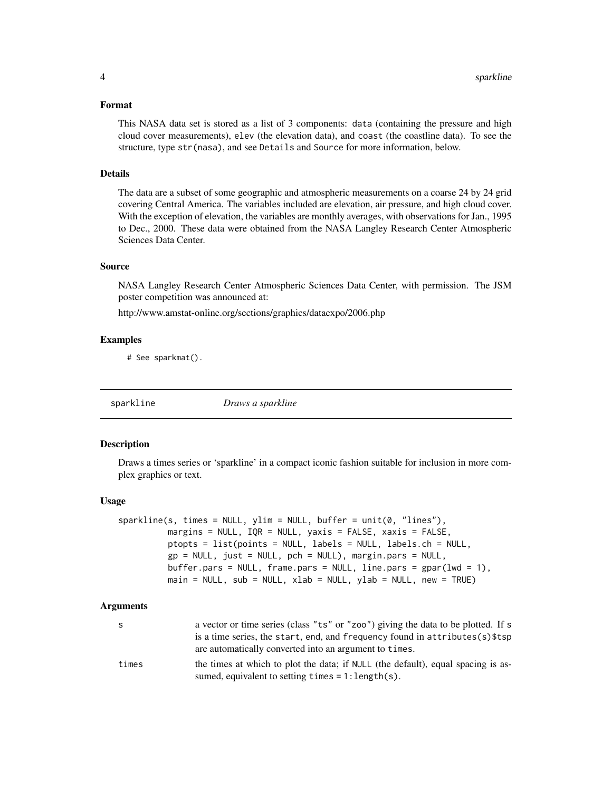#### <span id="page-3-0"></span>Format

This NASA data set is stored as a list of 3 components: data (containing the pressure and high cloud cover measurements), elev (the elevation data), and coast (the coastline data). To see the structure, type str(nasa), and see Details and Source for more information, below.

#### Details

The data are a subset of some geographic and atmospheric measurements on a coarse 24 by 24 grid covering Central America. The variables included are elevation, air pressure, and high cloud cover. With the exception of elevation, the variables are monthly averages, with observations for Jan., 1995 to Dec., 2000. These data were obtained from the NASA Langley Research Center Atmospheric Sciences Data Center.

## Source

NASA Langley Research Center Atmospheric Sciences Data Center, with permission. The JSM poster competition was announced at:

http://www.amstat-online.org/sections/graphics/dataexpo/2006.php

#### Examples

# See sparkmat().

<span id="page-3-1"></span>sparkline *Draws a sparkline*

#### Description

Draws a times series or 'sparkline' in a compact iconic fashion suitable for inclusion in more complex graphics or text.

#### Usage

```
sparkline(s, times = NULL, ylim = NULL, buffer = unit(0, "lines"),margins = NULL, IQR = NULL, yaxis = FALSE, xaxis = FALSE,
         ptopts = list(points = NULL, labels = NULL, labels.ch = NULL,
         gp = NULL, just = NULL, pch = NULL), margin.pars = NULL,
         buffer.pars = NULL, frame.pars = NULL, line.pars = gpar(lwd = 1),
         main = NULL, sub = NULL, xlab = NULL, ylab = NULL, new = TRUE)
```

| s     | a vector or time series (class "ts" or "zoo") giving the data to be plotted. If s<br>is a time series, the start, end, and frequency found in attributes(s) \$tsp<br>are automatically converted into an argument to times. |
|-------|-----------------------------------------------------------------------------------------------------------------------------------------------------------------------------------------------------------------------------|
| times | the times at which to plot the data; if NULL (the default), equal spacing is as-<br>sumed, equivalent to setting $times = 1$ : length $(s)$ .                                                                               |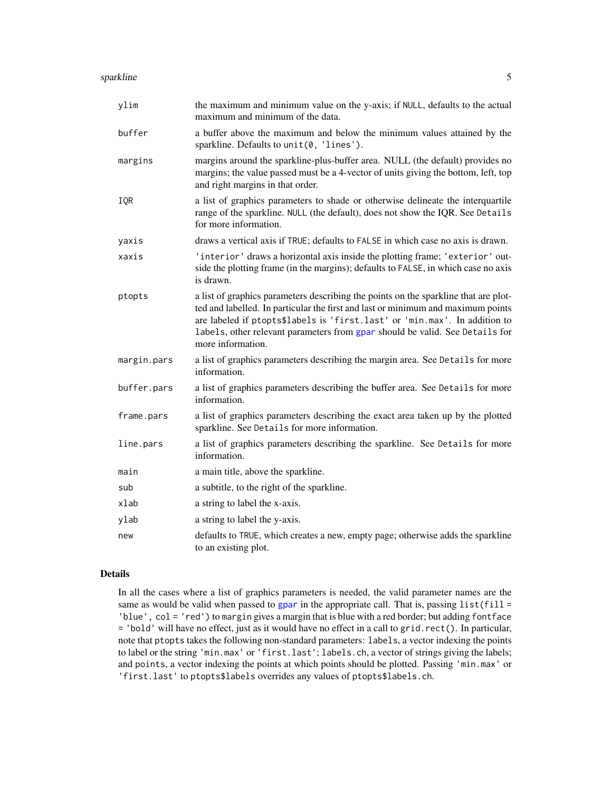#### <span id="page-4-0"></span>sparkline 5

| ylim        | the maximum and minimum value on the y-axis; if NULL, defaults to the actual<br>maximum and minimum of the data.                                                                                                                                                                                                                                           |
|-------------|------------------------------------------------------------------------------------------------------------------------------------------------------------------------------------------------------------------------------------------------------------------------------------------------------------------------------------------------------------|
| buffer      | a buffer above the maximum and below the minimum values attained by the<br>sparkline. Defaults to unit(0, 'lines').                                                                                                                                                                                                                                        |
| margins     | margins around the sparkline-plus-buffer area. NULL (the default) provides no<br>margins; the value passed must be a 4-vector of units giving the bottom, left, top<br>and right margins in that order.                                                                                                                                                    |
| IQR         | a list of graphics parameters to shade or otherwise delineate the interquartile<br>range of the sparkline. NULL (the default), does not show the IQR. See Details<br>for more information.                                                                                                                                                                 |
| yaxis       | draws a vertical axis if TRUE; defaults to FALSE in which case no axis is drawn.                                                                                                                                                                                                                                                                           |
| xaxis       | 'interior' draws a horizontal axis inside the plotting frame; 'exterior' out-<br>side the plotting frame (in the margins); defaults to FALSE, in which case no axis<br>is drawn.                                                                                                                                                                           |
| ptopts      | a list of graphics parameters describing the points on the sparkline that are plot-<br>ted and labelled. In particular the first and last or minimum and maximum points<br>are labeled if ptopts\$labels is 'first.last' or 'min.max'. In addition to<br>labels, other relevant parameters from gpar should be valid. See Details for<br>more information. |
| margin.pars | a list of graphics parameters describing the margin area. See Details for more<br>information.                                                                                                                                                                                                                                                             |
| buffer.pars | a list of graphics parameters describing the buffer area. See Details for more<br>information.                                                                                                                                                                                                                                                             |
| frame.pars  | a list of graphics parameters describing the exact area taken up by the plotted<br>sparkline. See Details for more information.                                                                                                                                                                                                                            |
| line.pars   | a list of graphics parameters describing the sparkline. See Details for more<br>information.                                                                                                                                                                                                                                                               |
| main        | a main title, above the sparkline.                                                                                                                                                                                                                                                                                                                         |
| sub         | a subtitle, to the right of the sparkline.                                                                                                                                                                                                                                                                                                                 |
| xlab        | a string to label the x-axis.                                                                                                                                                                                                                                                                                                                              |
| ylab        | a string to label the y-axis.                                                                                                                                                                                                                                                                                                                              |
| new         | defaults to TRUE, which creates a new, empty page; otherwise adds the sparkline<br>to an existing plot.                                                                                                                                                                                                                                                    |

## Details

In all the cases where a list of graphics parameters is needed, the valid parameter names are the same as would be valid when passed to [gpar](#page-0-0) in the appropriate call. That is, passing  $list(fill =$ 'blue', col = 'red') to margin gives a margin that is blue with a red border; but adding fontface = 'bold' will have no effect, just as it would have no effect in a call to grid.rect(). In particular, note that ptopts takes the following non-standard parameters: labels, a vector indexing the points to label or the string 'min.max' or 'first.last'; labels.ch, a vector of strings giving the labels; and points, a vector indexing the points at which points should be plotted. Passing 'min.max' or 'first.last' to ptopts\$labels overrides any values of ptopts\$labels.ch.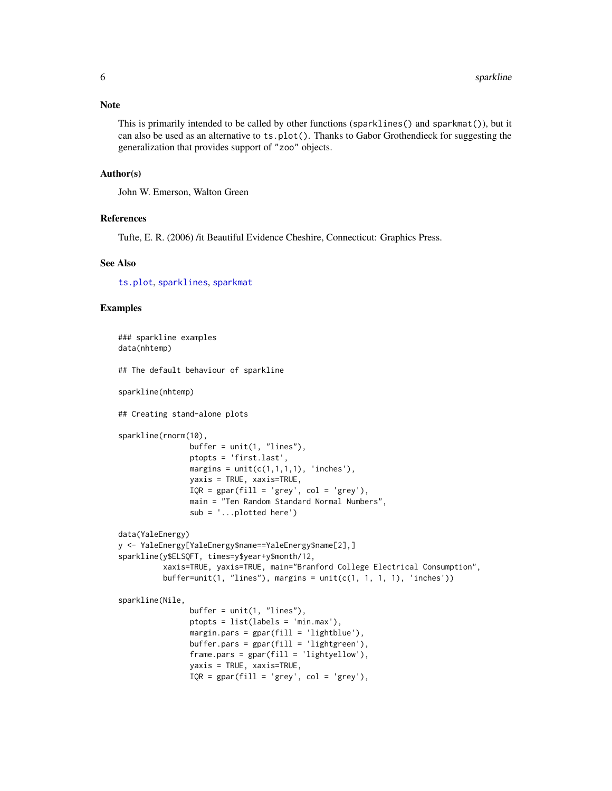#### <span id="page-5-0"></span>Note

This is primarily intended to be called by other functions (sparklines() and sparkmat()), but it can also be used as an alternative to ts.plot(). Thanks to Gabor Grothendieck for suggesting the generalization that provides support of "zoo" objects.

#### Author(s)

John W. Emerson, Walton Green

### References

Tufte, E. R. (2006) /it Beautiful Evidence Cheshire, Connecticut: Graphics Press.

#### See Also

[ts.plot](#page-0-0), [sparklines](#page-6-1), [sparkmat](#page-9-1)

## Examples

```
### sparkline examples
data(nhtemp)
## The default behaviour of sparkline
sparkline(nhtemp)
## Creating stand-alone plots
sparkline(rnorm(10),
               buffer = unit(1, "lines"),ptopts = 'first.last',
               margins = unit(c(1,1,1,1), 'inches'),yaxis = TRUE, xaxis=TRUE,
               IQR = gpar(fill = 'grey', col = 'grey'),main = "Ten Random Standard Normal Numbers",
                sub = '...plotted here')
data(YaleEnergy)
y <- YaleEnergy[YaleEnergy$name==YaleEnergy$name[2],]
sparkline(y$ELSQFT, times=y$year+y$month/12,
          xaxis=TRUE, yaxis=TRUE, main="Branford College Electrical Consumption",
          buffer = unit(1, "lines"), margins = unit(c(1, 1, 1, 1), 'inches'))sparkline(Nile,
                buffer = unit(1, "lines"),ptopts = list(labels = 'min.max'),
                margin.parse = gpar(fill = 'lightblue'),buffer.parse = gpar(fill = 'lightgreen'),frame.parse = gpar(fill = 'lightyellow'),yaxis = TRUE, xaxis=TRUE,
                IQR = gpar(fill = 'grey', col = 'grey'),
```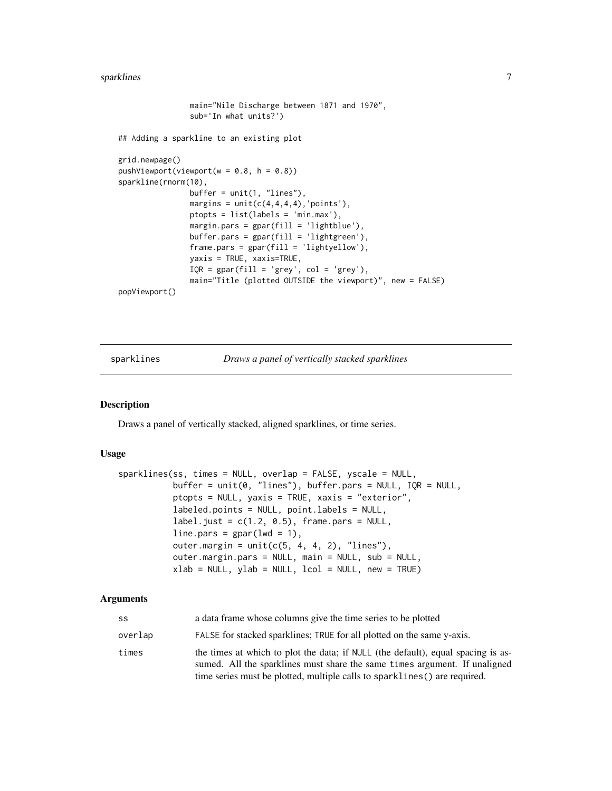#### <span id="page-6-0"></span>sparklines 7

```
main="Nile Discharge between 1871 and 1970",
                sub='In what units?')
## Adding a sparkline to an existing plot
grid.newpage()
pushViewport(viewport(w = 0.8, h = 0.8))
sparkline(rnorm(10),
                buffer = unit(1, "lines"),margins = unit(c(4,4,4,4),'points'),ptopts = list(labels = 'min.max'),
                margin.pars = gpar(fill = 'lightblue'),
                buffer.pars = gpar(fill = 'lightgreen'),frame.pars = gpar(fill = 'lightyellow'),
                yaxis = TRUE, xaxis=TRUE,
               IQR = gpar(fill = 'grey', col = 'grey'),main="Title (plotted OUTSIDE the viewport)", new = FALSE)
popViewport()
```
<span id="page-6-1"></span>sparklines *Draws a panel of vertically stacked sparklines*

#### Description

Draws a panel of vertically stacked, aligned sparklines, or time series.

#### Usage

```
sparklines(ss, times = NULL, overlap = FALSE, yscale = NULL,
           buffer = unit(0, "lines"), buffer.pars = NULL, IQR = NULL,
           ptopts = NULL, yaxis = TRUE, xaxis = "exterior",
           labeled.points = NULL, point.labels = NULL,
           label.just = c(1.2, 0.5), frame.pars = NULL,
           line.pars = gpar(lwd = 1),
           outer.margin = unit(c(5, 4, 4, 2), "lines"),
           outer.margin.pars = NULL, main = NULL, sub = NULL,
           xlab = NULL, ylab = NULL, lcol = NULL, new = TRUE)
```

| SS      | a data frame whose columns give the time series to be plotted                                                                                                                                                                                |
|---------|----------------------------------------------------------------------------------------------------------------------------------------------------------------------------------------------------------------------------------------------|
| overlap | FALSE for stacked sparklines; TRUE for all plotted on the same y-axis.                                                                                                                                                                       |
| times   | the times at which to plot the data; if NULL (the default), equal spacing is as-<br>sumed. All the sparklines must share the same times argument. If unaligned<br>time series must be plotted, multiple calls to sparklines () are required. |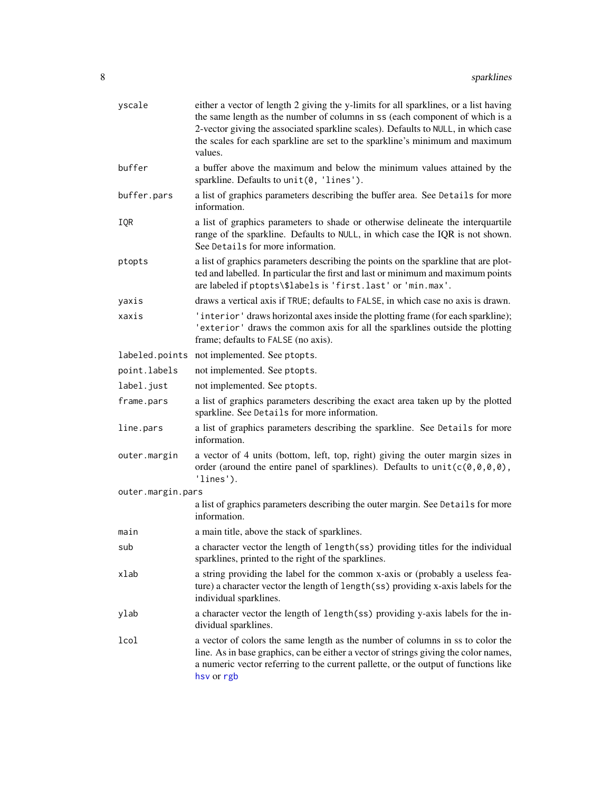<span id="page-7-0"></span>

| yscale            | either a vector of length 2 giving the y-limits for all sparklines, or a list having<br>the same length as the number of columns in ss (each component of which is a<br>2-vector giving the associated sparkline scales). Defaults to NULL, in which case<br>the scales for each sparkline are set to the sparkline's minimum and maximum<br>values. |  |
|-------------------|------------------------------------------------------------------------------------------------------------------------------------------------------------------------------------------------------------------------------------------------------------------------------------------------------------------------------------------------------|--|
| buffer            | a buffer above the maximum and below the minimum values attained by the<br>sparkline. Defaults to unit(0, 'lines').                                                                                                                                                                                                                                  |  |
| buffer.pars       | a list of graphics parameters describing the buffer area. See Details for more<br>information.                                                                                                                                                                                                                                                       |  |
| IQR               | a list of graphics parameters to shade or otherwise delineate the interquartile<br>range of the sparkline. Defaults to NULL, in which case the IQR is not shown.<br>See Details for more information.                                                                                                                                                |  |
| ptopts            | a list of graphics parameters describing the points on the sparkline that are plot-<br>ted and labelled. In particular the first and last or minimum and maximum points<br>are labeled if ptopts\\$labels is 'first.last' or 'min.max'.                                                                                                              |  |
| yaxis             | draws a vertical axis if TRUE; defaults to FALSE, in which case no axis is drawn.                                                                                                                                                                                                                                                                    |  |
| xaxis             | 'interior' draws horizontal axes inside the plotting frame (for each sparkline);<br>'exterior' draws the common axis for all the sparklines outside the plotting<br>frame; defaults to FALSE (no axis).                                                                                                                                              |  |
|                   | labeled.points not implemented. See ptopts.                                                                                                                                                                                                                                                                                                          |  |
| point.labels      | not implemented. See ptopts.                                                                                                                                                                                                                                                                                                                         |  |
| label.just        | not implemented. See ptopts.                                                                                                                                                                                                                                                                                                                         |  |
| frame.pars        | a list of graphics parameters describing the exact area taken up by the plotted<br>sparkline. See Details for more information.                                                                                                                                                                                                                      |  |
| line.pars         | a list of graphics parameters describing the sparkline. See Details for more<br>information.                                                                                                                                                                                                                                                         |  |
| outer.margin      | a vector of 4 units (bottom, left, top, right) giving the outer margin sizes in<br>order (around the entire panel of sparklines). Defaults to $unit(c(0,0,0,0),$<br>'lines').                                                                                                                                                                        |  |
| outer.margin.pars |                                                                                                                                                                                                                                                                                                                                                      |  |
|                   | a list of graphics parameters describing the outer margin. See Details for more<br>information.                                                                                                                                                                                                                                                      |  |
| main              | a main title, above the stack of sparklines.                                                                                                                                                                                                                                                                                                         |  |
| sub               | a character vector the length of length(ss) providing titles for the individual<br>sparklines, printed to the right of the sparklines.                                                                                                                                                                                                               |  |
| xlab              | a string providing the label for the common x-axis or (probably a useless fea-<br>ture) a character vector the length of length(ss) providing x-axis labels for the<br>individual sparklines.                                                                                                                                                        |  |
| ylab              | a character vector the length of length(ss) providing y-axis labels for the in-<br>dividual sparklines.                                                                                                                                                                                                                                              |  |
| lcol              | a vector of colors the same length as the number of columns in ss to color the<br>line. As in base graphics, can be either a vector of strings giving the color names,<br>a numeric vector referring to the current pallette, or the output of functions like<br>hsv or rgb                                                                          |  |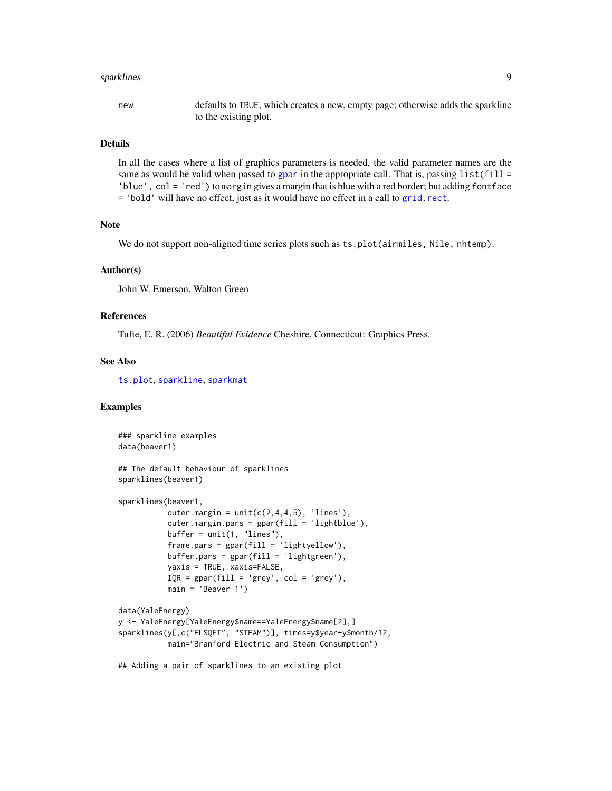#### <span id="page-8-0"></span>sparklines **9**

new defaults to TRUE, which creates a new, empty page; otherwise adds the sparkline to the existing plot.

## Details

In all the cases where a list of graphics parameters is needed, the valid parameter names are the same as would be valid when passed to [gpar](#page-0-0) in the appropriate call. That is, passing  $list(fill =$ 'blue', col = 'red') to margin gives a margin that is blue with a red border; but adding fontface = 'bold' will have no effect, just as it would have no effect in a call to [grid.rect](#page-0-0).

## Note

We do not support non-aligned time series plots such as ts.plot(airmiles, Nile, nhtemp).

#### Author(s)

John W. Emerson, Walton Green

#### References

Tufte, E. R. (2006) *Beautiful Evidence* Cheshire, Connecticut: Graphics Press.

## See Also

[ts.plot](#page-0-0), [sparkline](#page-3-1), [sparkmat](#page-9-1)

## Examples

```
### sparkline examples
data(beaver1)
## The default behaviour of sparklines
sparklines(beaver1)
sparklines(beaver1,
           outer.margin = unit(c(2,4,4,5), 'lines'),outer.margin.pars = gpar(fill = 'lightblue'),
           buffer = unit(1, "lines"),frame.parse = gpar(fill = 'lightyellow'),
           buffer.pars = gpar(fill = 'lightgreen'),
           yaxis = TRUE, xaxis=FALSE,
           IQR = gpar(fill = 'grey', col = 'grey'),main = 'Beaver 1')
data(YaleEnergy)
y <- YaleEnergy[YaleEnergy$name==YaleEnergy$name[2],]
sparklines(y[,c("ELSQFT", "STEAM")], times=y$year+y$month/12,
          main="Branford Electric and Steam Consumption")
```
## Adding a pair of sparklines to an existing plot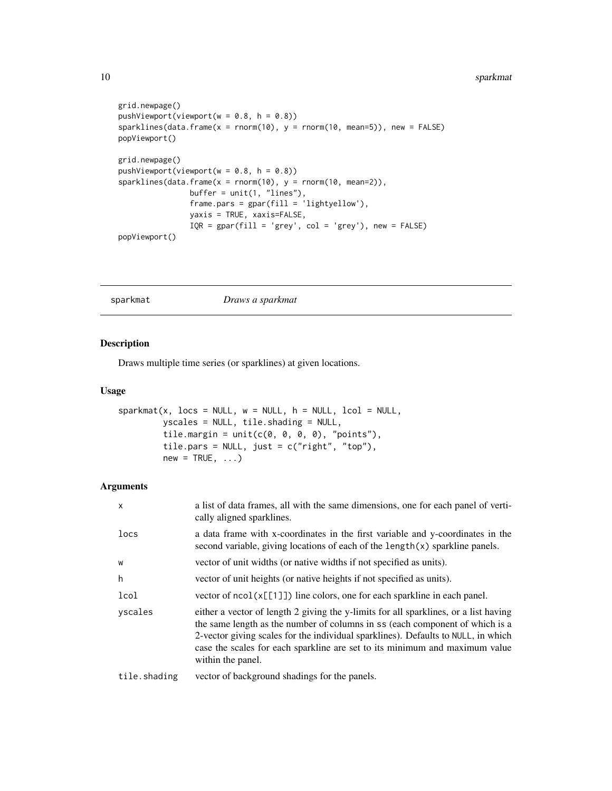```
grid.newpage()
pushViewport(viewport(w = 0.8, h = 0.8))
sparklines(data.frame(x = rnorm(10), y = rnorm(10, mean=5)), new = FALSE)
popViewport()
grid.newpage()
pushViewport(viewport(w = 0.8, h = 0.8))sparklines(data, frame(x = norm(10), y = norm(10, mean=2)),buffer = unit(1, "lines"),frame.parse = gpar(fill = 'lightyellow'),yaxis = TRUE, xaxis=FALSE,
                IQR = gpar(fill = 'grey', col = 'grey'), new = FALSE)popViewport()
```
#### <span id="page-9-1"></span>sparkmat *Draws a sparkmat*

## Description

Draws multiple time series (or sparklines) at given locations.

## Usage

```
sparkmat(x, locus = NULL, w = NULL, h = NULL, local = NULL,yscales = NULL, tile.shading = NULL,
         tile.margin = unit(c(0, 0, 0, 0), 'points''),
        tile.pars = NULL, just = c("right", "top"),
         new = TRUE, ...
```

| X            | a list of data frames, all with the same dimensions, one for each panel of verti-<br>cally aligned sparklines.                                                                                                                                                                                                                                                |
|--------------|---------------------------------------------------------------------------------------------------------------------------------------------------------------------------------------------------------------------------------------------------------------------------------------------------------------------------------------------------------------|
| locs         | a data frame with x-coordinates in the first variable and y-coordinates in the<br>second variable, giving locations of each of the $length(x)$ sparkline panels.                                                                                                                                                                                              |
| W            | vector of unit widths (or native widths if not specified as units).                                                                                                                                                                                                                                                                                           |
| h            | vector of unit heights (or native heights if not specified as units).                                                                                                                                                                                                                                                                                         |
| lcol         | vector of $ncol(x[[1]])$ line colors, one for each sparkline in each panel.                                                                                                                                                                                                                                                                                   |
| yscales      | either a vector of length 2 giving the y-limits for all sparklines, or a list having<br>the same length as the number of columns in ss (each component of which is a<br>2-vector giving scales for the individual sparklines). Defaults to NULL, in which<br>case the scales for each sparkline are set to its minimum and maximum value<br>within the panel. |
| tile.shading | vector of background shadings for the panels.                                                                                                                                                                                                                                                                                                                 |

<span id="page-9-0"></span>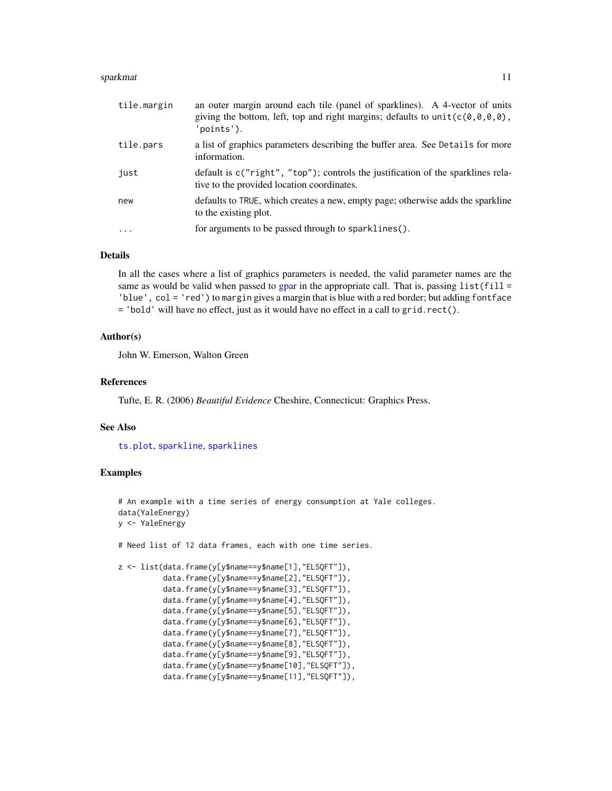#### <span id="page-10-0"></span>sparkmat the state of the state of the state of the state of the state of the state of the state of the state of the state of the state of the state of the state of the state of the state of the state of the state of the s

| tile.margin | an outer margin around each tile (panel of sparklines). A 4-vector of units<br>giving the bottom, left, top and right margins; defaults to unit( $c(0,0,0,0)$ ,<br>'points'). |
|-------------|-------------------------------------------------------------------------------------------------------------------------------------------------------------------------------|
| tile.pars   | a list of graphics parameters describing the buffer area. See Details for more<br>information.                                                                                |
| just        | default is c("right", "top"); controls the justification of the sparklines rela-<br>tive to the provided location coordinates.                                                |
| new         | defaults to TRUE, which creates a new, empty page; otherwise adds the sparkline<br>to the existing plot.                                                                      |
| $\cdot$     | for arguments to be passed through to sparklines().                                                                                                                           |

#### Details

In all the cases where a list of graphics parameters is needed, the valid parameter names are the same as would be valid when passed to [gpar](#page-0-0) in the appropriate call. That is, passing  $list(fill =$ 'blue', col = 'red') to margin gives a margin that is blue with a red border; but adding fontface = 'bold' will have no effect, just as it would have no effect in a call to grid.rect().

## Author(s)

John W. Emerson, Walton Green

#### References

Tufte, E. R. (2006) *Beautiful Evidence* Cheshire, Connecticut: Graphics Press.

#### See Also

[ts.plot](#page-0-0), [sparkline](#page-3-1), [sparklines](#page-6-1)

## Examples

```
# An example with a time series of energy consumption at Yale colleges.
data(YaleEnergy)
y <- YaleEnergy
# Need list of 12 data frames, each with one time series.
z <- list(data.frame(y[y$name==y$name[1],"ELSQFT"]),
          data.frame(y[y$name==y$name[2],"ELSQFT"]),
          data.frame(y[y$name==y$name[3],"ELSQFT"]),
          data.frame(y[y$name==y$name[4],"ELSQFT"]),
          data.frame(y[y$name==y$name[5],"ELSQFT"]),
          data.frame(y[y$name==y$name[6],"ELSQFT"]),
          data.frame(y[y$name==y$name[7],"ELSQFT"]),
          data.frame(y[y$name==y$name[8],"ELSQFT"]),
          data.frame(y[y$name==y$name[9],"ELSQFT"]),
          data.frame(y[y$name==y$name[10],"ELSQFT"]),
          data.frame(y[y$name==y$name[11],"ELSQFT"]),
```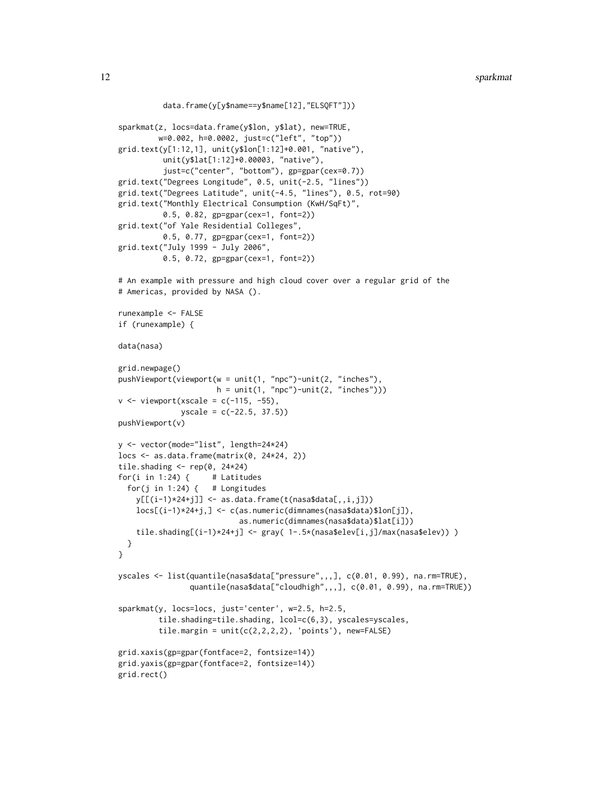```
data.frame(y[y$name==y$name[12],"ELSQFT"]))
sparkmat(z, locs=data.frame(y$lon, y$lat), new=TRUE,
         w=0.002, h=0.0002, just=c("left", "top"))
grid.text(y[1:12,1], unit(y$lon[1:12]+0.001, "native"),
          unit(y$lat[1:12]+0.00003, "native"),
          just=c("center", "bottom"), gp=gpar(cex=0.7))
grid.text("Degrees Longitude", 0.5, unit(-2.5, "lines"))
grid.text("Degrees Latitude", unit(-4.5, "lines"), 0.5, rot=90)
grid.text("Monthly Electrical Consumption (KwH/SqFt)",
          0.5, 0.82, gp=gpar(cex=1, font=2))
grid.text("of Yale Residential Colleges",
          0.5, 0.77, gp=gpar(cex=1, font=2))
grid.text("July 1999 - July 2006",
          0.5, 0.72, gp=gpar(cex=1, font=2))
# An example with pressure and high cloud cover over a regular grid of the
# Americas, provided by NASA ().
runexample <- FALSE
if (runexample) {
data(nasa)
grid.newpage()
pushViewport(viewport(w = unit(1, "npc")-unit(2, "inches"),
                       h = unit(1, "npc") - unit(2, "inches"))v \le - viewport(xscale = c(-115, -55),
              yscale = c(-22.5, 37.5))
pushViewport(v)
y <- vector(mode="list", length=24*24)
\text{locs} \leq \text{ as.data}.\text{frame}(\text{matrix}(\emptyset, 24*24, 2))tile.shading \leq rep(0, 24*24)
for(i in 1:24) \{ # Latitudes
  for(j in 1:24) \{ # Longitudes
    y[\[(i-1)*24+j]] \leq a s.data.frame(t(nasa$data[, i,j]))locs[(i-1)*24+j,] <- c(as.numeric(dimnames(nasa$data)$lon[j]),
                            as.numeric(dimnames(nasa$data)$lat[i]))
    tile.shading[(i-1)*24+j] < -gray(1-.5*(nasa$elev[i,j]/max(nasa$elev)) )}
}
yscales <- list(quantile(nasa$data["pressure",,,], c(0.01, 0.99), na.rm=TRUE),
                quantile(nasa$data["cloudhigh",,,], c(0.01, 0.99), na.rm=TRUE))
sparkmat(y, locs=locs, just='center', w=2.5, h=2.5,
         tile.shading=tile.shading, lcol=c(6,3), yscales=yscales,
         tile.margin = unit(c(2,2,2,2), 'points'), new=FALSE)grid.xaxis(gp=gpar(fontface=2, fontsize=14))
grid.yaxis(gp=gpar(fontface=2, fontsize=14))
grid.rect()
```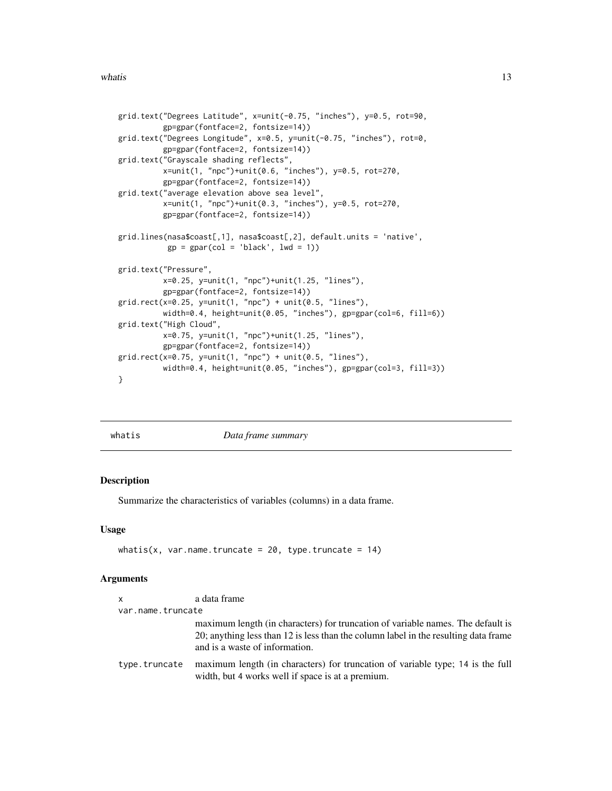```
grid.text("Degrees Latitude", x=unit(-0.75, "inches"), y=0.5, rot=90,
          gp=gpar(fontface=2, fontsize=14))
grid.text("Degrees Longitude", x=0.5, y=unit(-0.75, "inches"), rot=0,
         gp=gpar(fontface=2, fontsize=14))
grid.text("Grayscale shading reflects",
         x=unit(1, "npc")+unit(0.6, "inches"), y=0.5, rot=270,
         gp=gpar(fontface=2, fontsize=14))
grid.text("average elevation above sea level",
         x=unit(1, "npc")+unit(0.3, "inches"), y=0.5, rot=270,
          gp=gpar(fontface=2, fontsize=14))
grid.lines(nasa$coast[,1], nasa$coast[,2], default.units = 'native',
           gp = gpar(col = 'black', lwd = 1))grid.text("Pressure",
         x=0.25, y=unit(1, "npc")+unit(1.25, "lines"),
         gp=gpar(fontface=2, fontsize=14))
grid.rect(x=0.25, y=unit(1, "npc") + unit(0.5, "lines"),
         width=0.4, height=unit(0.05, "inches"), gp=gpar(col=6, fill=6))
grid.text("High Cloud",
         x=0.75, y=unit(1, "npc")+unit(1.25, "lines"),
         gp=gpar(fontface=2, fontsize=14))
grid.rect(x=0.75, y=unit(1, "npc") + unit(0.5, "lines"),
         width=0.4, height=unit(0.05, "inches"), gp=gpar(col=3, fill=3))
}
```

| whatis |
|--------|

*Data frame summary* 

## Description

Summarize the characteristics of variables (columns) in a data frame.

#### Usage

```
whatis(x, var.name.truncate = 20, type.truncate = 14)
```

| <b>X</b>          | a data frame                                                                                                                                                                                             |
|-------------------|----------------------------------------------------------------------------------------------------------------------------------------------------------------------------------------------------------|
| var.name.truncate |                                                                                                                                                                                                          |
|                   | maximum length (in characters) for truncation of variable names. The default is<br>20; anything less than 12 is less than the column label in the resulting data frame<br>and is a waste of information. |
| type.truncate     | maximum length (in characters) for truncation of variable type; 14 is the full<br>width, but 4 works well if space is at a premium.                                                                      |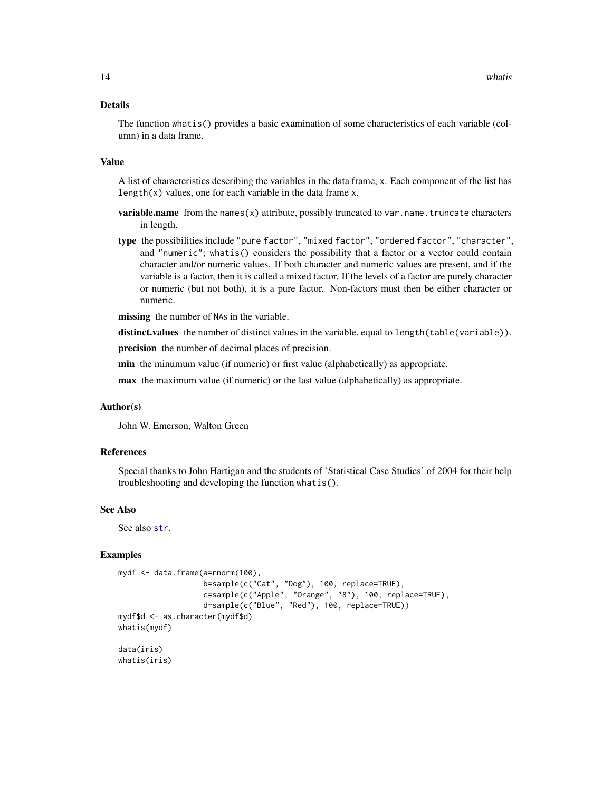#### <span id="page-13-0"></span>Details

The function whatis() provides a basic examination of some characteristics of each variable (column) in a data frame.

#### Value

A list of characteristics describing the variables in the data frame, x. Each component of the list has length(x) values, one for each variable in the data frame x.

- variable.name from the names(x) attribute, possibly truncated to var.name.truncate characters in length.
- type the possibilities include "pure factor", "mixed factor", "ordered factor", "character", and "numeric"; whatis() considers the possibility that a factor or a vector could contain character and/or numeric values. If both character and numeric values are present, and if the variable is a factor, then it is called a mixed factor. If the levels of a factor are purely character or numeric (but not both), it is a pure factor. Non-factors must then be either character or numeric.

missing the number of NAs in the variable.

distinct.values the number of distinct values in the variable, equal to length(table(variable)).

precision the number of decimal places of precision.

min the minumum value (if numeric) or first value (alphabetically) as appropriate.

max the maximum value (if numeric) or the last value (alphabetically) as appropriate.

## Author(s)

John W. Emerson, Walton Green

## References

Special thanks to John Hartigan and the students of 'Statistical Case Studies' of 2004 for their help troubleshooting and developing the function whatis().

## See Also

See also [str](#page-0-0).

#### Examples

```
mydf <- data.frame(a=rnorm(100),
                   b=sample(c("Cat", "Dog"), 100, replace=TRUE),
                   c=sample(c("Apple", "Orange", "8"), 100, replace=TRUE),
                   d=sample(c("Blue", "Red"), 100, replace=TRUE))
mydf$d <- as.character(mydf$d)
whatis(mydf)
data(iris)
whatis(iris)
```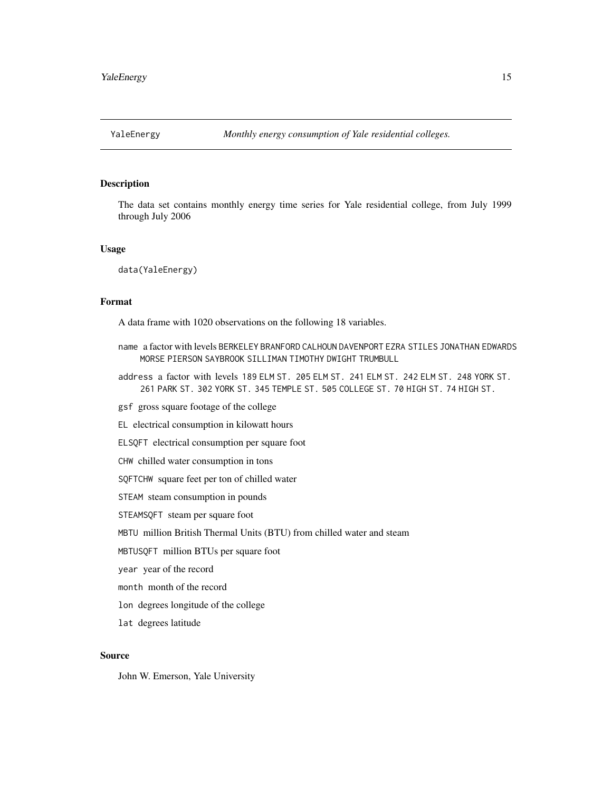<span id="page-14-0"></span>

#### Description

The data set contains monthly energy time series for Yale residential college, from July 1999 through July 2006

#### Usage

data(YaleEnergy)

## Format

A data frame with 1020 observations on the following 18 variables.

- name a factor with levels BERKELEY BRANFORD CALHOUN DAVENPORT EZRA STILES JONATHAN EDWARDS MORSE PIERSON SAYBROOK SILLIMAN TIMOTHY DWIGHT TRUMBULL
- address a factor with levels 189 ELM ST. 205 ELM ST. 241 ELM ST. 242 ELM ST. 248 YORK ST. 261 PARK ST. 302 YORK ST. 345 TEMPLE ST. 505 COLLEGE ST. 70 HIGH ST. 74 HIGH ST.
- gsf gross square footage of the college
- EL electrical consumption in kilowatt hours
- ELSQFT electrical consumption per square foot
- CHW chilled water consumption in tons
- SQFTCHW square feet per ton of chilled water
- STEAM steam consumption in pounds
- STEAMSQFT steam per square foot
- MBTU million British Thermal Units (BTU) from chilled water and steam
- MBTUSQFT million BTUs per square foot
- year year of the record
- month month of the record
- lon degrees longitude of the college
- lat degrees latitude

## Source

John W. Emerson, Yale University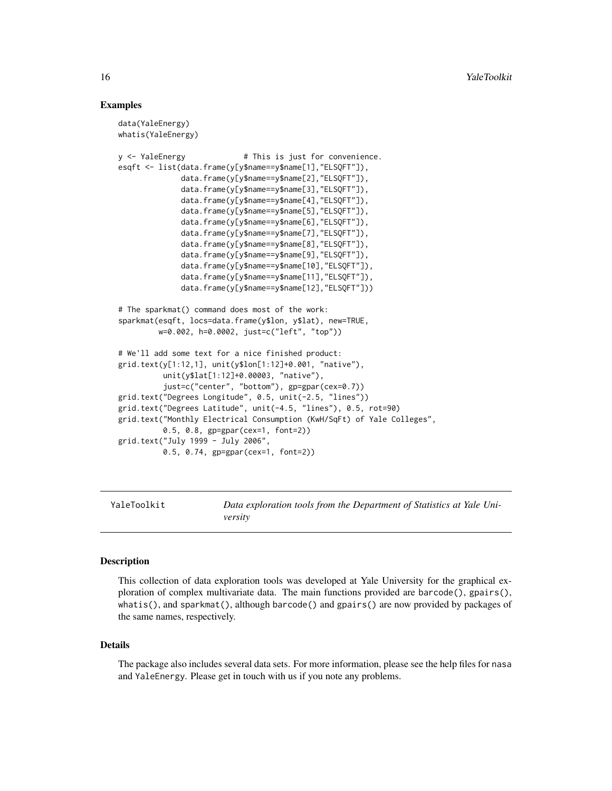## Examples

```
data(YaleEnergy)
whatis(YaleEnergy)
y <- YaleEnergy \qquad # This is just for convenience.
esqft <- list(data.frame(y[y$name==y$name[1],"ELSQFT"]),
              data.frame(y[y$name==y$name[2],"ELSQFT"]),
              data.frame(y[y$name==y$name[3],"ELSQFT"]),
              data.frame(y[y$name==y$name[4],"ELSQFT"]),
              data.frame(y[y$name==y$name[5],"ELSQFT"]),
              data.frame(y[y$name==y$name[6],"ELSQFT"]),
              data.frame(y[y$name==y$name[7],"ELSQFT"]),
              data.frame(y[y$name==y$name[8],"ELSQFT"]),
              data.frame(y[y$name==y$name[9],"ELSQFT"]),
              data.frame(y[y$name==y$name[10],"ELSQFT"]),
              data.frame(y[y$name==y$name[11],"ELSQFT"]),
              data.frame(y[y$name==y$name[12],"ELSQFT"]))
# The sparkmat() command does most of the work:
sparkmat(esqft, locs=data.frame(y$lon, y$lat), new=TRUE,
        w=0.002, h=0.0002, just=c("left", "top"))
# We'll add some text for a nice finished product:
grid.text(y[1:12,1], unit(y$lon[1:12]+0.001, "native"),
          unit(y$lat[1:12]+0.00003, "native"),
          just=c("center", "bottom"), gp=gpar(cex=0.7))
grid.text("Degrees Longitude", 0.5, unit(-2.5, "lines"))
grid.text("Degrees Latitude", unit(-4.5, "lines"), 0.5, rot=90)
grid.text("Monthly Electrical Consumption (KwH/SqFt) of Yale Colleges",
          0.5, 0.8, gp=gpar(cex=1, font=2))
grid.text("July 1999 - July 2006",
          0.5, 0.74, gp=gpar(cex=1, font=2))
```
YaleToolkit *Data exploration tools from the Department of Statistics at Yale University*

#### Description

This collection of data exploration tools was developed at Yale University for the graphical exploration of complex multivariate data. The main functions provided are barcode(), gpairs(), whatis(), and sparkmat(), although barcode() and gpairs() are now provided by packages of the same names, respectively.

### Details

The package also includes several data sets. For more information, please see the help files for nasa and YaleEnergy. Please get in touch with us if you note any problems.

<span id="page-15-0"></span>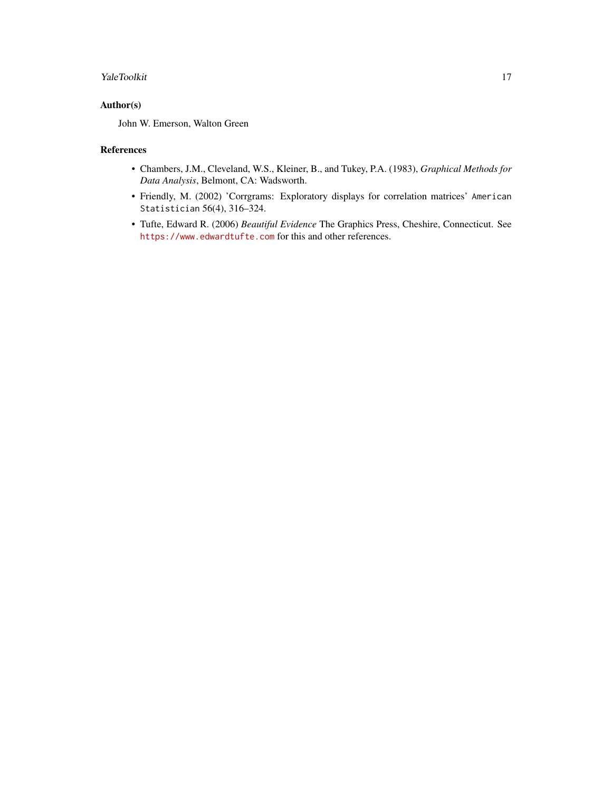## YaleToolkit 17

## Author(s)

John W. Emerson, Walton Green

## References

- Chambers, J.M., Cleveland, W.S., Kleiner, B., and Tukey, P.A. (1983), *Graphical Methods for Data Analysis*, Belmont, CA: Wadsworth.
- Friendly, M. (2002) 'Corrgrams: Exploratory displays for correlation matrices' American Statistician 56(4), 316–324.
- Tufte, Edward R. (2006) *Beautiful Evidence* The Graphics Press, Cheshire, Connecticut. See <https://www.edwardtufte.com> for this and other references.